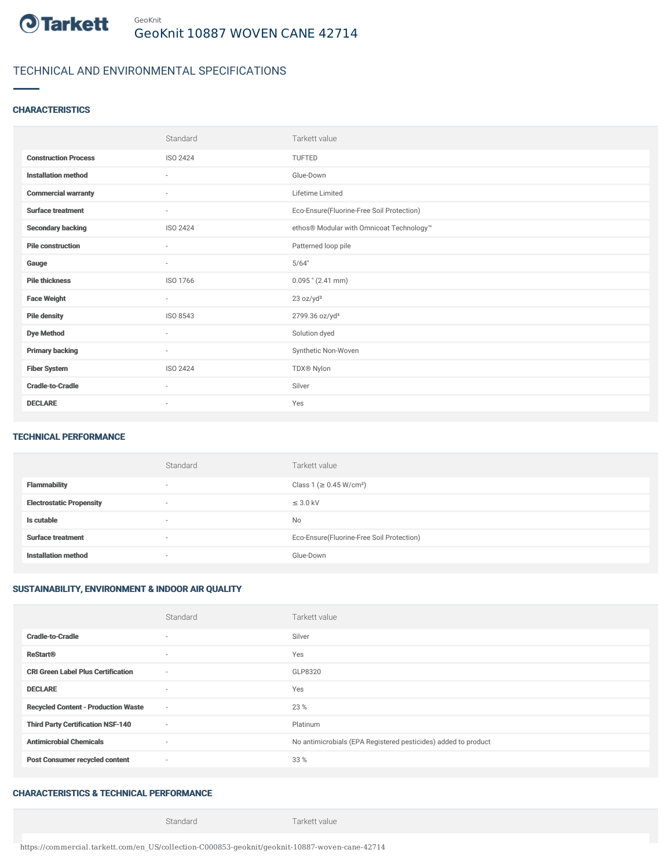

# TECHNICAL AND ENVIRONMENTAL SPECIFICATIONS

#### **CHARACTERISTICS**

|                             | Standard                 | Tarkett value                             |
|-----------------------------|--------------------------|-------------------------------------------|
| <b>Construction Process</b> | ISO 2424                 | TUFTED                                    |
| <b>Installation method</b>  | $\sim$                   | Glue-Down                                 |
| <b>Commercial warranty</b>  | ×                        | Lifetime Limited                          |
| <b>Surface treatment</b>    | ٠                        | Eco-Ensure(Fluorine-Free Soil Protection) |
| <b>Secondary backing</b>    | ISO 2424                 | ethos® Modular with Omnicoat Technology™  |
| <b>Pile construction</b>    | $\sim$                   | Patterned loop pile                       |
| Gauge                       | $\sim$                   | 5/64"                                     |
| <b>Pile thickness</b>       | ISO 1766                 | $0.095$ " (2.41 mm)                       |
| <b>Face Weight</b>          | $\sim$                   | 23 oz/yd <sup>2</sup>                     |
| <b>Pile density</b>         | ISO 8543                 | 2799.36 oz/yd <sup>3</sup>                |
| <b>Dye Method</b>           | $\sim$                   | Solution dyed                             |
| <b>Primary backing</b>      | $\overline{\phantom{a}}$ | Synthetic Non-Woven                       |
| <b>Fiber System</b>         | ISO 2424                 | TDX® Nylon                                |
| <b>Cradle-to-Cradle</b>     | ٠                        | Silver                                    |
| <b>DECLARE</b>              | $\overline{\phantom{a}}$ | Yes                                       |

#### TECHNICAL PERFORMANCE

|                                 | Standard                 | Tarkett value                             |
|---------------------------------|--------------------------|-------------------------------------------|
| <b>Flammability</b>             | $\overline{\phantom{a}}$ | Class 1 (≥ 0.45 W/cm <sup>2</sup> )       |
| <b>Electrostatic Propensity</b> |                          | $\leq$ 3.0 kV                             |
| Is cutable                      | $\overline{\phantom{a}}$ | <b>No</b>                                 |
| <b>Surface treatment</b>        |                          | Eco-Ensure(Fluorine-Free Soil Protection) |
| <b>Installation method</b>      | ۰                        | Glue-Down                                 |

### SUSTAINABILITY, ENVIRONMENT & INDOOR AIR QUALITY

|                                            | Standard                 | Tarkett value                                                  |
|--------------------------------------------|--------------------------|----------------------------------------------------------------|
| <b>Cradle-to-Cradle</b>                    | ۰                        | Silver                                                         |
| <b>ReStart®</b>                            | $\sim$                   | Yes                                                            |
| <b>CRI Green Label Plus Certification</b>  | $\overline{\phantom{a}}$ | GLP8320                                                        |
| <b>DECLARE</b>                             | $\sim$                   | Yes                                                            |
| <b>Recycled Content - Production Waste</b> | $\sim$                   | 23 %                                                           |
| <b>Third Party Certification NSF-140</b>   | $\sim$                   | Platinum                                                       |
| <b>Antimicrobial Chemicals</b>             | $\sim$                   | No antimicrobials (EPA Registered pesticides) added to product |
| <b>Post Consumer recycled content</b>      | $\sim$                   | 33 %                                                           |

### CHARACTERISTICS & TECHNICAL PERFORMANCE

Standard Tarkett value